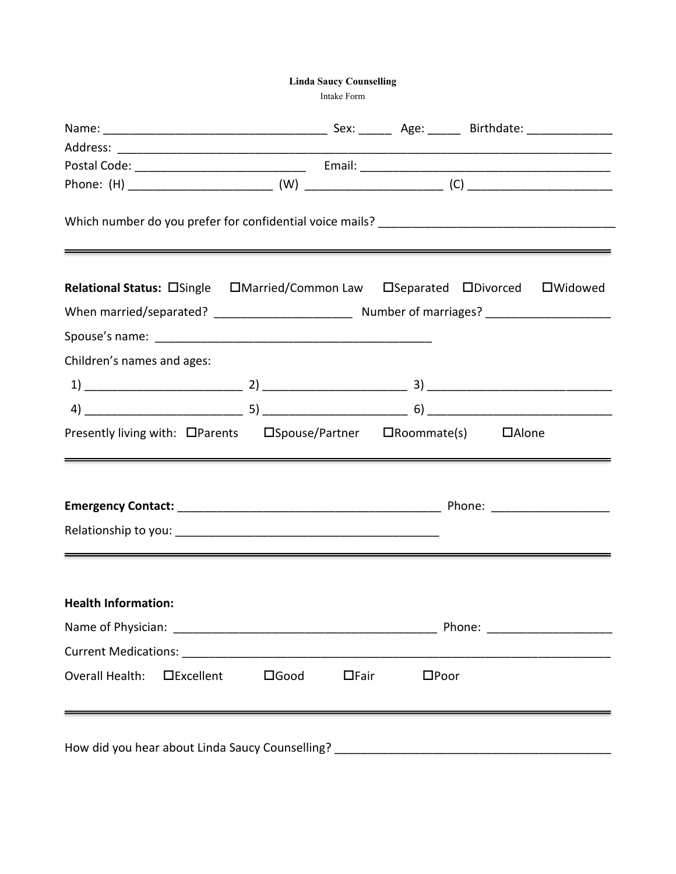**Linda Saucy Counselling**

Intake Form

| Relational Status: OSingle  OMarried/Common Law  OSeparated  ODivorced  OWidowed |                |             |                |  |  |
|----------------------------------------------------------------------------------|----------------|-------------|----------------|--|--|
|                                                                                  |                |             |                |  |  |
|                                                                                  |                |             |                |  |  |
| Children's names and ages:                                                       |                |             |                |  |  |
|                                                                                  |                |             |                |  |  |
|                                                                                  |                |             |                |  |  |
| Presently living with: OParents  OSpouse/Partner  ORoommate(s)  OAlone           |                |             |                |  |  |
| <u> 1989 - Andrea Andrew Maria (h. 1989).</u>                                    |                |             |                |  |  |
|                                                                                  |                |             |                |  |  |
|                                                                                  |                |             |                |  |  |
|                                                                                  |                |             |                |  |  |
| <b>Health Information:</b>                                                       |                |             |                |  |  |
|                                                                                  |                |             |                |  |  |
|                                                                                  |                |             |                |  |  |
| Overall Health:<br>$\square$ Excellent                                           | $\square$ Good | $\Box$ Fair | $\square$ Poor |  |  |
|                                                                                  |                |             |                |  |  |
|                                                                                  |                |             |                |  |  |
|                                                                                  |                |             |                |  |  |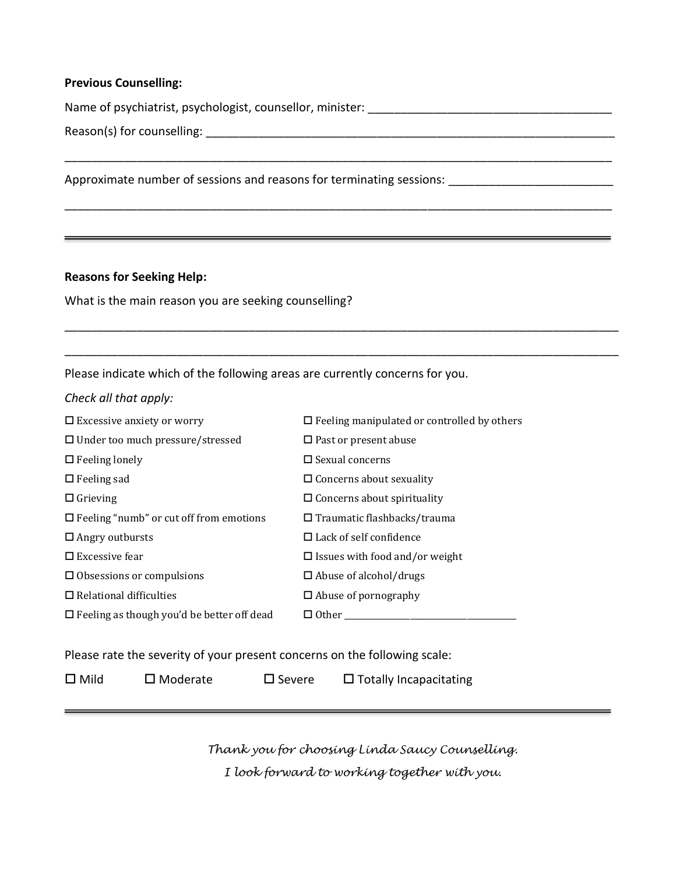#### **Previous Counselling:**

Name of psychiatrist, psychologist, counsellor, minister: \_\_\_\_\_\_\_\_\_\_\_\_\_\_\_\_\_\_\_\_\_\_\_\_\_\_\_\_\_\_\_\_\_\_\_\_\_

\_\_\_\_\_\_\_\_\_\_\_\_\_\_\_\_\_\_\_\_\_\_\_\_\_\_\_\_\_\_\_\_\_\_\_\_\_\_\_\_\_\_\_\_\_\_\_\_\_\_\_\_\_\_\_\_\_\_\_\_\_\_\_\_\_\_\_\_\_\_\_\_\_\_\_\_\_\_\_\_\_\_\_

\_\_\_\_\_\_\_\_\_\_\_\_\_\_\_\_\_\_\_\_\_\_\_\_\_\_\_\_\_\_\_\_\_\_\_\_\_\_\_\_\_\_\_\_\_\_\_\_\_\_\_\_\_\_\_\_\_\_\_\_\_\_\_\_\_\_\_\_\_\_\_\_\_\_\_\_\_\_\_\_\_\_\_

\_\_\_\_\_\_\_\_\_\_\_\_\_\_\_\_\_\_\_\_\_\_\_\_\_\_\_\_\_\_\_\_\_\_\_\_\_\_\_\_\_\_\_\_\_\_\_\_\_\_\_\_\_\_\_\_\_\_\_\_\_\_\_\_\_\_\_\_\_\_\_\_\_\_\_\_\_\_\_\_\_\_\_\_

\_\_\_\_\_\_\_\_\_\_\_\_\_\_\_\_\_\_\_\_\_\_\_\_\_\_\_\_\_\_\_\_\_\_\_\_\_\_\_\_\_\_\_\_\_\_\_\_\_\_\_\_\_\_\_\_\_\_\_\_\_\_\_\_\_\_\_\_\_\_\_\_\_\_\_\_\_\_\_\_\_\_\_\_

Reason(s) for counselling: \_\_\_\_\_\_\_\_\_\_\_\_\_\_\_\_\_\_\_\_\_\_\_\_\_\_\_\_\_\_\_\_\_\_\_\_\_\_\_\_\_\_\_\_\_\_\_\_\_\_\_\_\_\_\_\_\_\_\_\_\_\_

Approximate number of sessions and reasons for terminating sessions: \_\_\_\_\_\_\_\_\_\_\_\_\_\_\_\_\_\_\_\_\_\_\_\_\_

#### **Reasons for Seeking Help:**

What is the main reason you are seeking counselling?

Please indicate which of the following areas are currently concerns for you.

*Check all that apply:*

| $\Box$ Excessive anxiety or worry                 | $\Box$ Feeling manipulated or controlled by others |
|---------------------------------------------------|----------------------------------------------------|
| $\Box$ Under too much pressure/stressed           | $\Box$ Past or present abuse                       |
| $\Box$ Feeling lonely                             | $\Box$ Sexual concerns                             |
| $\Box$ Feeling sad                                | $\Box$ Concerns about sexuality                    |
| $\Box$ Grieving                                   | $\Box$ Concerns about spirituality                 |
| $\Box$ Feeling "numb" or cut off from emotions    | $\Box$ Traumatic flashbacks/trauma                 |
| $\Box$ Angry outbursts                            | $\Box$ Lack of self confidence                     |
| $\Box$ Excessive fear                             | $\Box$ Issues with food and/or weight              |
| $\Box$ Obsessions or compulsions                  | $\Box$ Abuse of alcohol/drugs                      |
| $\Box$ Relational difficulties                    | $\Box$ Abuse of pornography                        |
| $\Box$ Feeling as though you'd be better off dead | $\Box$ Other                                       |

Please rate the severity of your present concerns on the following scale:

 $\Box$  Mild  $\Box$  Moderate  $\Box$  Severe  $\Box$  Totally Incapacitating

*Thank you for choosing Linda Saucy Counselling. I look forward to working together with you.*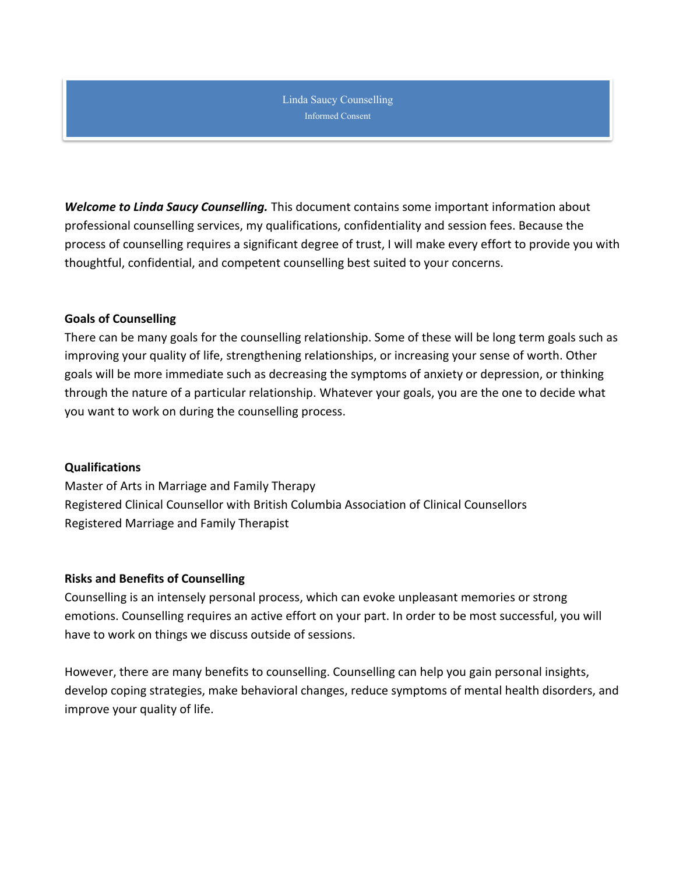Linda Saucy Counselling Informed Consent

*Welcome to Linda Saucy Counselling.* This document contains some important information about professional counselling services, my qualifications, confidentiality and session fees. Because the process of counselling requires a significant degree of trust, I will make every effort to provide you with thoughtful, confidential, and competent counselling best suited to your concerns.

# **Goals of Counselling**

There can be many goals for the counselling relationship. Some of these will be long term goals such as improving your quality of life, strengthening relationships, or increasing your sense of worth. Other goals will be more immediate such as decreasing the symptoms of anxiety or depression, or thinking through the nature of a particular relationship. Whatever your goals, you are the one to decide what you want to work on during the counselling process.

# **Qualifications**

Master of Arts in Marriage and Family Therapy Registered Clinical Counsellor with British Columbia Association of Clinical Counsellors Registered Marriage and Family Therapist

# **Risks and Benefits of Counselling**

Counselling is an intensely personal process, which can evoke unpleasant memories or strong emotions. Counselling requires an active effort on your part. In order to be most successful, you will have to work on things we discuss outside of sessions.

However, there are many benefits to counselling. Counselling can help you gain personal insights, develop coping strategies, make behavioral changes, reduce symptoms of mental health disorders, and improve your quality of life.